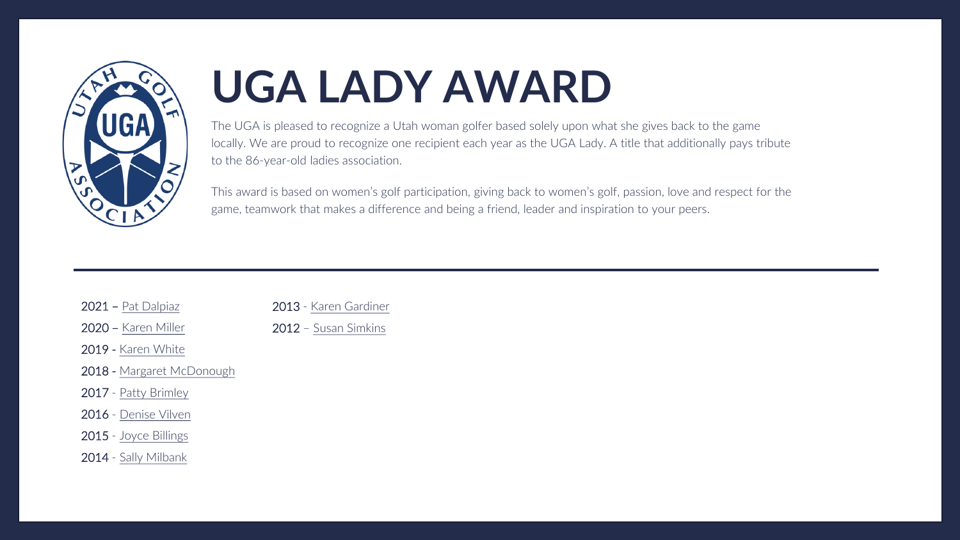

# **UGA LADY AWARD**

The UGA is pleased to recognize a Utah woman golfer based solely upon what she gives back to the game locally. We are proud to recognize one recipient each year as the UGA Lady. A title that additionally pays tribute to the 86-year-old ladies association.

This award is based on women's golf participation, giving back to women's golf, passion, love and respect for the game, teamwork that makes a difference and being a friend, leader and inspiration to your peers.

| $2021 - Pat Dalpiaz$ | 2013 - Karen Gardiner |
|----------------------|-----------------------|
|                      |                       |

2020 – [Karen Miller](#page-2-0)

2012 – [Susan Simkins](#page-10-0)

- 2019 [Karen White](#page-3-0)
- 2018 [Margaret McDonough](#page-4-0)
- 2017 [Patty Brimley](#page-5-0)
- 2016 [Denise Vilven](#page-6-0)
- 2015 [Joyce Billings](#page-7-0)
- 2014 [Sally Milbank](#page-8-0)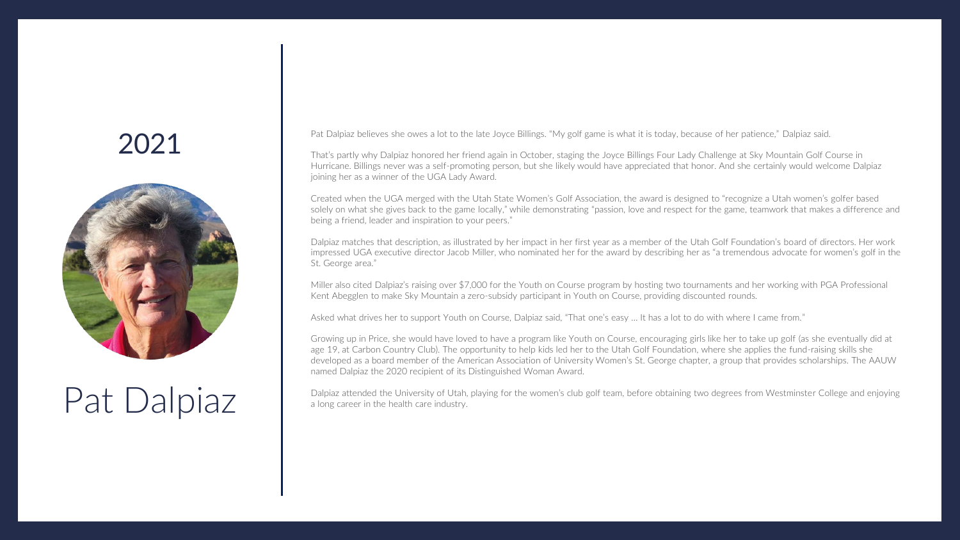<span id="page-1-0"></span>

# Pat Dalpiaz

Pat Dalpiaz believes she owes a lot to the late Joyce Billings. "My golf game is what it is today, because of her patience," Dalpiaz said.

That's partly why Dalpiaz honored her friend again in October, staging the Joyce Billings Four Lady Challenge at Sky Mountain Golf Course in Hurricane. Billings never was a self-promoting person, but she likely would have appreciated that honor. And she certainly would welcome Dalpiaz joining her as a winner of the UGA Lady Award.

Created when the UGA merged with the Utah State Women's Golf Association, the award is designed to "recognize a Utah women's golfer based solely on what she gives back to the game locally," while demonstrating "passion, love and respect for the game, teamwork that makes a difference and being a friend, leader and inspiration to your peers."

Dalpiaz matches that description, as illustrated by her impact in her first year as a member of the Utah Golf Foundation's board of directors. Her work impressed UGA executive director Jacob Miller, who nominated her for the award by describing her as "a tremendous advocate for women's golf in the St. George area."

Miller also cited Dalpiaz's raising over \$7,000 for the Youth on Course program by hosting two tournaments and her working with PGA Professional Kent Abegglen to make Sky Mountain a zero-subsidy participant in Youth on Course, providing discounted rounds.

Asked what drives her to support Youth on Course, Dalpiaz said, "That one's easy … It has a lot to do with where I came from."

Growing up in Price, she would have loved to have a program like Youth on Course, encouraging girls like her to take up golf (as she eventually did at age 19, at Carbon Country Club). The opportunity to help kids led her to the Utah Golf Foundation, where she applies the fund-raising skills she developed as a board member of the American Association of University Women's St. George chapter, a group that provides scholarships. The AAUW named Dalpiaz the 2020 recipient of its Distinguished Woman Award.

Dalpiaz attended the University of Utah, playing for the women's club golf team, before obtaining two degrees from Westminster College and enjoying a long career in the health care industry.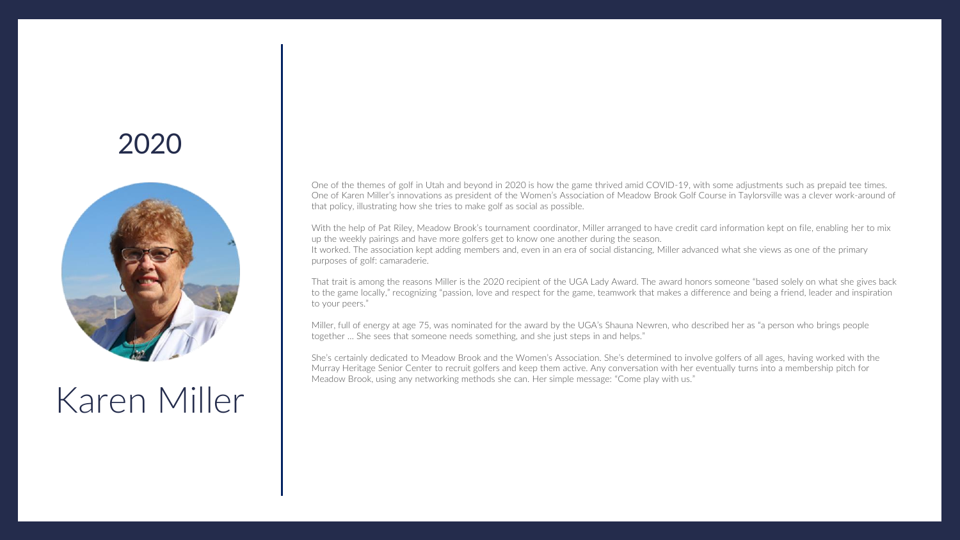<span id="page-2-0"></span>

## Karen Miller

One of the themes of golf in Utah and beyond in 2020 is how the game thrived amid COVID-19, with some adjustments such as prepaid tee times. One of Karen Miller's innovations as president of the Women's Association of Meadow Brook Golf Course in Taylorsville was a clever work-around of that policy, illustrating how she tries to make golf as social as possible.

With the help of Pat Riley, Meadow Brook's tournament coordinator, Miller arranged to have credit card information kept on file, enabling her to mix up the weekly pairings and have more golfers get to know one another during the season.

It worked. The association kept adding members and, even in an era of social distancing, Miller advanced what she views as one of the primary purposes of golf: camaraderie.

That trait is among the reasons Miller is the 2020 recipient of the UGA Lady Award. The award honors someone "based solely on what she gives back to the game locally," recognizing "passion, love and respect for the game, teamwork that makes a difference and being a friend, leader and inspiration to your peers."

Miller, full of energy at age 75, was nominated for the award by the UGA's Shauna Newren, who described her as "a person who brings people together … She sees that someone needs something, and she just steps in and helps."

She's certainly dedicated to Meadow Brook and the Women's Association. She's determined to involve golfers of all ages, having worked with the Murray Heritage Senior Center to recruit golfers and keep them active. Any conversation with her eventually turns into a membership pitch for Meadow Brook, using any networking methods she can. Her simple message: "Come play with us."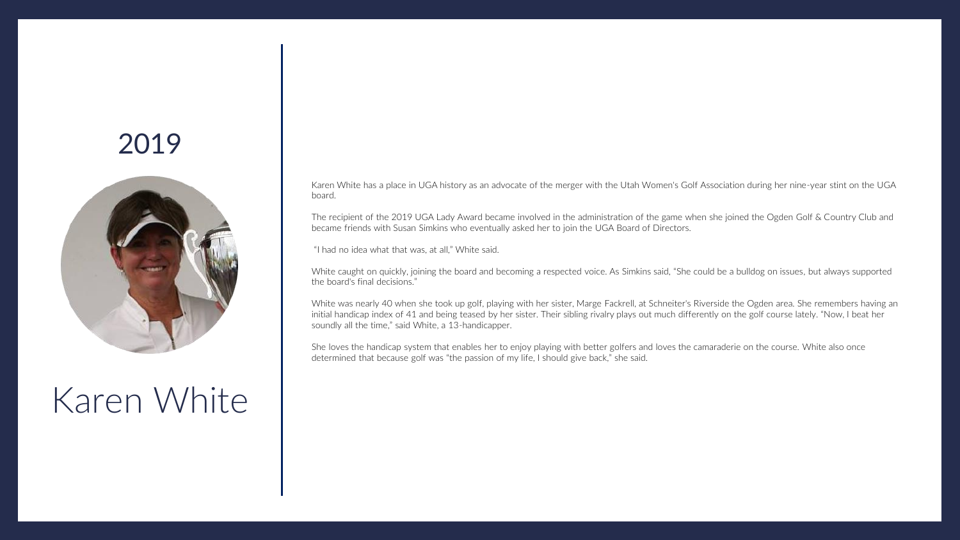<span id="page-3-0"></span>

## Karen White

Karen White has a place in UGA history as an advocate of the merger with the Utah Women's Golf Association during her nine-year stint on the UGA board.

The recipient of the 2019 UGA Lady Award became involved in the administration of the game when she joined the Ogden Golf & Country Club and became friends with Susan Simkins who eventually asked her to join the UGA Board of Directors.

"I had no idea what that was, at all," White said.

White caught on quickly, joining the board and becoming a respected voice. As Simkins said, "She could be a bulldog on issues, but always supported the board's final decisions."

White was nearly 40 when she took up golf, playing with her sister, Marge Fackrell, at Schneiter's Riverside the Ogden area. She remembers having an initial handicap index of 41 and being teased by her sister. Their sibling rivalry plays out much differently on the golf course lately. "Now, I beat her soundly all the time," said White, a 13-handicapper.

She loves the handicap system that enables her to enjoy playing with better golfers and loves the camaraderie on the course. White also once determined that because golf was "the passion of my life, I should give back," she said.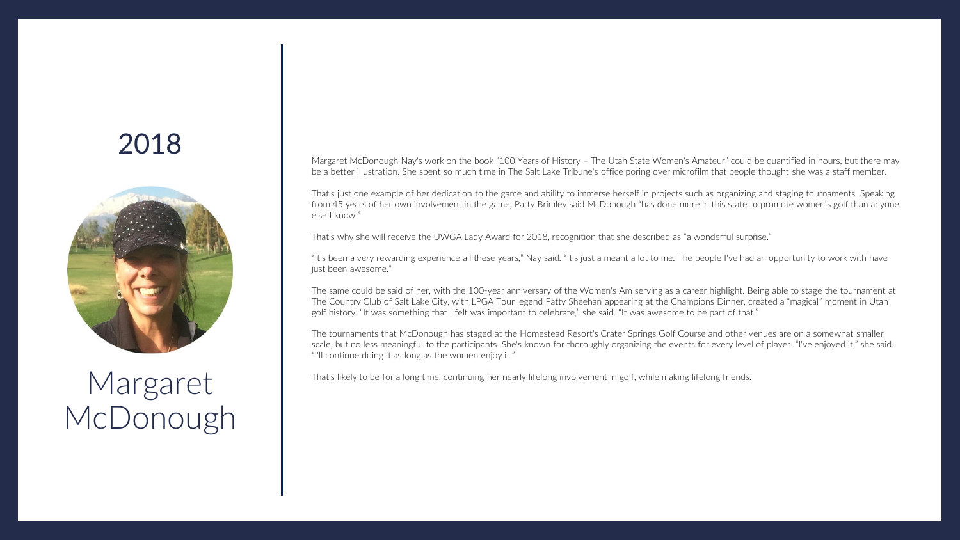<span id="page-4-0"></span>

## Margaret McDonough

Margaret McDonough Nay's work on the book "100 Years of History – The Utah State Women's Amateur" could be quantified in hours, but there may be a better illustration. She spent so much time in The Salt Lake Tribune's office poring over microfilm that people thought she was a staff member.

That's just one example of her dedication to the game and ability to immerse herself in projects such as organizing and staging tournaments. Speaking from 45 years of her own involvement in the game, Patty Brimley said McDonough "has done more in this state to promote women's golf than anyone else I know."

That's why she will receive the UWGA Lady Award for 2018, recognition that she described as "a wonderful surprise."

"It's been a very rewarding experience all these years," Nay said. "It's just a meant a lot to me. The people I've had an opportunity to work with have just been awesome."

The same could be said of her, with the 100-year anniversary of the Women's Am serving as a career highlight. Being able to stage the tournament at The Country Club of Salt Lake City, with LPGA Tour legend Patty Sheehan appearing at the Champions Dinner, created a "magical" moment in Utah golf history. "It was something that I felt was important to celebrate," she said. "It was awesome to be part of that."

The tournaments that McDonough has staged at the Homestead Resort's Crater Springs Golf Course and other venues are on a somewhat smaller scale, but no less meaningful to the participants. She's known for thoroughly organizing the events for every level of player. "I've enjoyed it," she said. "I'll continue doing it as long as the women enjoy it."

That's likely to be for a long time, continuing her nearly lifelong involvement in golf, while making lifelong friends.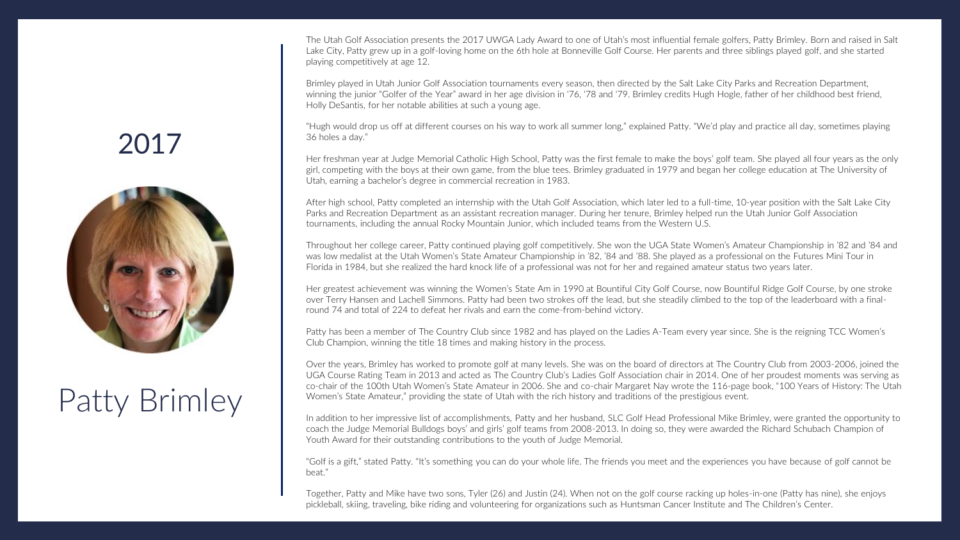The Utah Golf Association presents the 2017 UWGA Lady Award to one of Utah's most influential female golfers, Patty Brimley. Born and raised in Salt Lake City, Patty grew up in a golf-loving home on the 6th hole at Bonneville Golf Course. Her parents and three siblings played golf, and she started playing competitively at age 12.

Brimley played in Utah Junior Golf Association tournaments every season, then directed by the Salt Lake City Parks and Recreation Department, winning the junior "Golfer of the Year" award in her age division in '76, '78 and '79. Brimley credits Hugh Hogle, father of her childhood best friend, Holly DeSantis, for her notable abilities at such a young age.

"Hugh would drop us off at different courses on his way to work all summer long," explained Patty. "We'd play and practice all day, sometimes playing 36 holes a day."

Her freshman year at Judge Memorial Catholic High School, Patty was the first female to make the boys' golf team. She played all four years as the only girl, competing with the boys at their own game, from the blue tees. Brimley graduated in 1979 and began her college education at The University of Utah, earning a bachelor's degree in commercial recreation in 1983.

After high school, Patty completed an internship with the Utah Golf Association, which later led to a full-time, 10-year position with the Salt Lake City Parks and Recreation Department as an assistant recreation manager. During her tenure, Brimley helped run the Utah Junior Golf Association tournaments, including the annual Rocky Mountain Junior, which included teams from the Western U.S.

Throughout her college career, Patty continued playing golf competitively. She won the UGA State Women's Amateur Championship in '82 and '84 and was low medalist at the Utah Women's State Amateur Championship in '82, '84 and '88. She played as a professional on the Futures Mini Tour in Florida in 1984, but she realized the hard knock life of a professional was not for her and regained amateur status two years later.

Her greatest achievement was winning the Women's State Am in 1990 at Bountiful City Golf Course, now Bountiful Ridge Golf Course, by one stroke over Terry Hansen and Lachell Simmons. Patty had been two strokes off the lead, but she steadily climbed to the top of the leaderboard with a finalround 74 and total of 224 to defeat her rivals and earn the come-from-behind victory.

Patty has been a member of The Country Club since 1982 and has played on the Ladies A-Team every year since. She is the reigning TCC Women's Club Champion, winning the title 18 times and making history in the process.

Over the years, Brimley has worked to promote golf at many levels. She was on the board of directors at The Country Club from 2003-2006, joined the UGA Course Rating Team in 2013 and acted as The Country Club's Ladies Golf Association chair in 2014. One of her proudest moments was serving as co-chair of the 100th Utah Women's State Amateur in 2006. She and co-chair Margaret Nay wrote the 116-page book, "100 Years of History: The Utah Women's State Amateur," providing the state of Utah with the rich history and traditions of the prestigious event.

In addition to her impressive list of accomplishments, Patty and her husband, SLC Golf Head Professional Mike Brimley, were granted the opportunity to coach the Judge Memorial Bulldogs boys' and girls' golf teams from 2008-2013. In doing so, they were awarded the Richard Schubach Champion of Youth Award for their outstanding contributions to the youth of Judge Memorial.

"Golf is a gift," stated Patty. "It's something you can do your whole life. The friends you meet and the experiences you have because of golf cannot be beat."

Together, Patty and Mike have two sons, Tyler (26) and Justin (24). When not on the golf course racking up holes-in-one (Patty has nine), she enjoys pickleball, skiing, traveling, bike riding and volunteering for organizations such as Huntsman Cancer Institute and The Children's Center.

#### <span id="page-5-0"></span>2017



## Patty Brimley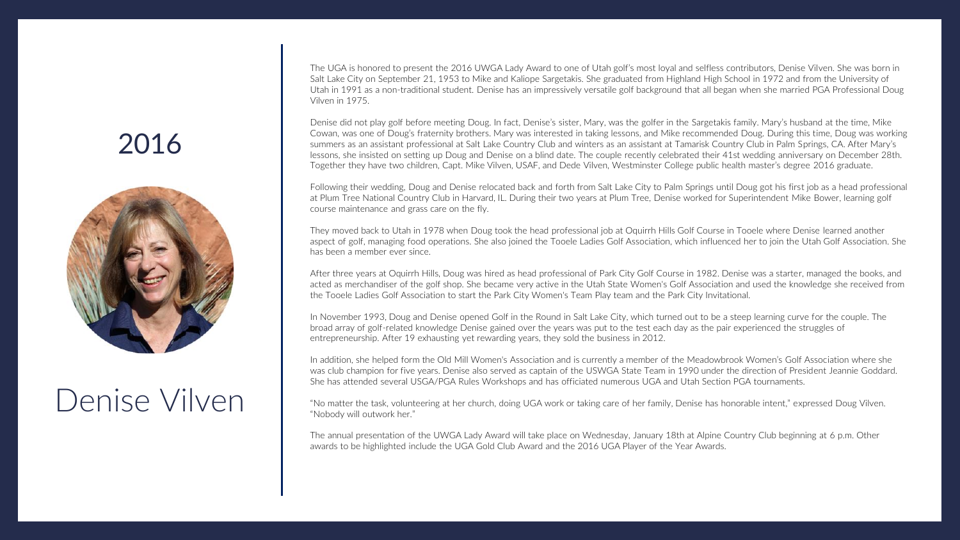<span id="page-6-0"></span>

## Denise Vilven

The UGA is honored to present the 2016 UWGA Lady Award to one of Utah golf's most loyal and selfless contributors, Denise Vilven. She was born in Salt Lake City on September 21, 1953 to Mike and Kaliope Sargetakis. She graduated from Highland High School in 1972 and from the University of Utah in 1991 as a non-traditional student. Denise has an impressively versatile golf background that all began when she married PGA Professional Doug Vilven in 1975.

Denise did not play golf before meeting Doug. In fact, Denise's sister, Mary, was the golfer in the Sargetakis family. Mary's husband at the time, Mike Cowan, was one of Doug's fraternity brothers. Mary was interested in taking lessons, and Mike recommended Doug. During this time, Doug was working summers as an assistant professional at Salt Lake Country Club and winters as an assistant at Tamarisk Country Club in Palm Springs, CA. After Mary's lessons, she insisted on setting up Doug and Denise on a blind date. The couple recently celebrated their 41st wedding anniversary on December 28th. Together they have two children, Capt. Mike Vilven, USAF, and Dede Vilven, Westminster College public health master's degree 2016 graduate.

Following their wedding, Doug and Denise relocated back and forth from Salt Lake City to Palm Springs until Doug got his first job as a head professional at Plum Tree National Country Club in Harvard, IL. During their two years at Plum Tree, Denise worked for Superintendent Mike Bower, learning golf course maintenance and grass care on the fly.

They moved back to Utah in 1978 when Doug took the head professional job at Oquirrh Hills Golf Course in Tooele where Denise learned another aspect of golf, managing food operations. She also joined the Tooele Ladies Golf Association, which influenced her to join the Utah Golf Association. She has been a member ever since.

After three years at Oquirrh Hills, Doug was hired as head professional of Park City Golf Course in 1982. Denise was a starter, managed the books, and acted as merchandiser of the golf shop. She became very active in the Utah State Women's Golf Association and used the knowledge she received from the Tooele Ladies Golf Association to start the Park City Women's Team Play team and the Park City Invitational.

In November 1993, Doug and Denise opened Golf in the Round in Salt Lake City, which turned out to be a steep learning curve for the couple. The broad array of golf-related knowledge Denise gained over the years was put to the test each day as the pair experienced the struggles of entrepreneurship. After 19 exhausting yet rewarding years, they sold the business in 2012.

In addition, she helped form the Old Mill Women's Association and is currently a member of the Meadowbrook Women's Golf Association where she was club champion for five years. Denise also served as captain of the USWGA State Team in 1990 under the direction of President Jeannie Goddard. She has attended several USGA/PGA Rules Workshops and has officiated numerous UGA and Utah Section PGA tournaments.

"No matter the task, volunteering at her church, doing UGA work or taking care of her family, Denise has honorable intent," expressed Doug Vilven. "Nobody will outwork her."

The annual presentation of the UWGA Lady Award will take place on Wednesday, January 18th at Alpine Country Club beginning at 6 p.m. Other awards to be highlighted include the UGA Gold Club Award and the 2016 UGA Player of the Year Awards.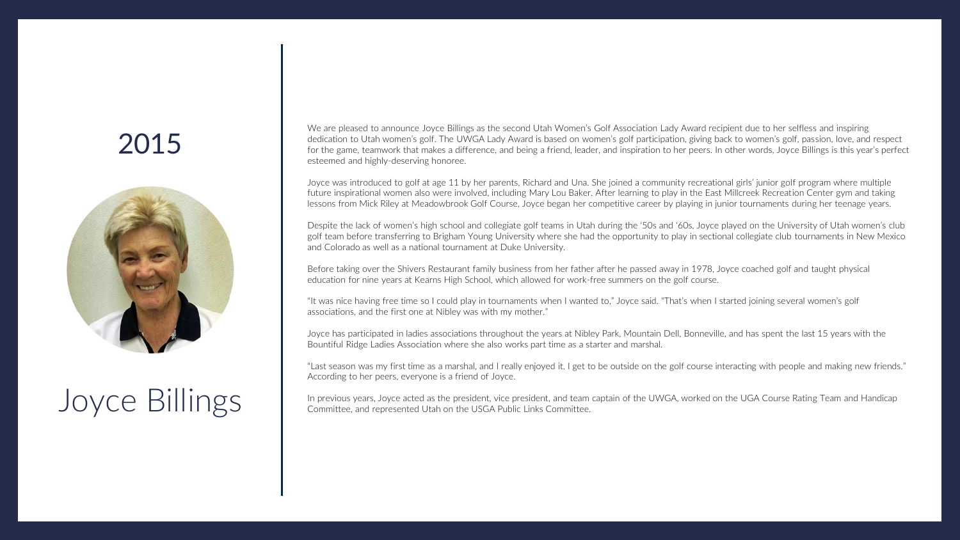<span id="page-7-0"></span>

## Joyce Billings

We are pleased to announce Joyce Billings as the second Utah Women's Golf Association Lady Award recipient due to her selfless and inspiring dedication to Utah women's golf. The UWGA Lady Award is based on women's golf participation, giving back to women's golf, passion, love, and respect for the game, teamwork that makes a difference, and being a friend, leader, and inspiration to her peers. In other words, Joyce Billings is this year's perfect esteemed and highly-deserving honoree.

Joyce was introduced to golf at age 11 by her parents, Richard and Una. She joined a community recreational girls' junior golf program where multiple future inspirational women also were involved, including Mary Lou Baker. After learning to play in the East Millcreek Recreation Center gym and taking lessons from Mick Riley at Meadowbrook Golf Course, Joyce began her competitive career by playing in junior tournaments during her teenage years.

Despite the lack of women's high school and collegiate golf teams in Utah during the '50s and '60s, Joyce played on the University of Utah women's club golf team before transferring to Brigham Young University where she had the opportunity to play in sectional collegiate club tournaments in New Mexico and Colorado as well as a national tournament at Duke University.

Before taking over the Shivers Restaurant family business from her father after he passed away in 1978, Joyce coached golf and taught physical education for nine years at Kearns High School, which allowed for work-free summers on the golf course.

"It was nice having free time so I could play in tournaments when I wanted to," Joyce said. "That's when I started joining several women's golf associations, and the first one at Nibley was with my mother."

Joyce has participated in ladies associations throughout the years at Nibley Park, Mountain Dell, Bonneville, and has spent the last 15 years with the Bountiful Ridge Ladies Association where she also works part time as a starter and marshal.

"Last season was my first time as a marshal, and I really enjoyed it. I get to be outside on the golf course interacting with people and making new friends." According to her peers, everyone is a friend of Joyce.

In previous years, Joyce acted as the president, vice president, and team captain of the UWGA, worked on the UGA Course Rating Team and Handicap Committee, and represented Utah on the USGA Public Links Committee.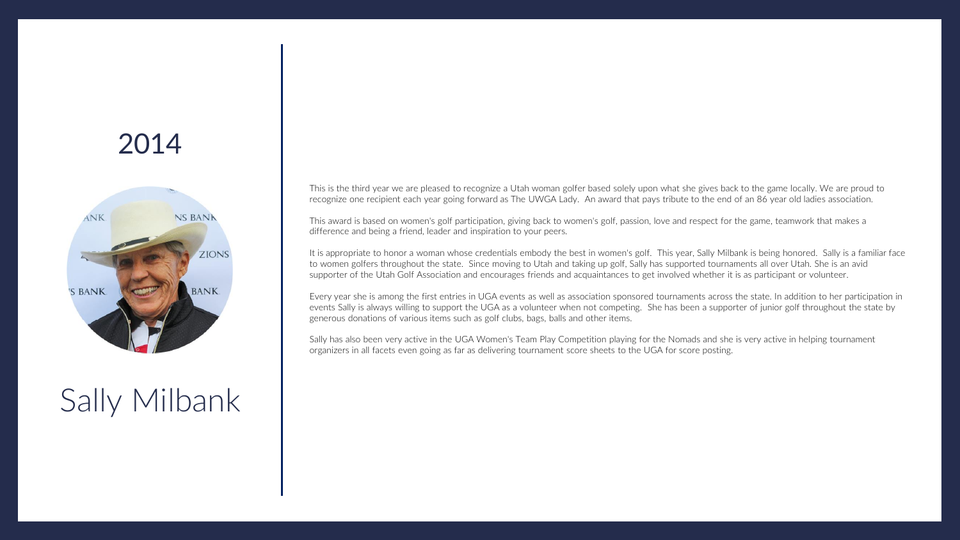<span id="page-8-0"></span>

## Sally Milbank

This is the third year we are pleased to recognize a Utah woman golfer based solely upon what she gives back to the game locally. We are proud to recognize one recipient each year going forward as The UWGA Lady. An award that pays tribute to the end of an 86 year old ladies association.

This award is based on women's golf participation, giving back to women's golf, passion, love and respect for the game, teamwork that makes a difference and being a friend, leader and inspiration to your peers.

It is appropriate to honor a woman whose credentials embody the best in women's golf. This year, Sally Milbank is being honored. Sally is a familiar face to women golfers throughout the state. Since moving to Utah and taking up golf, Sally has supported tournaments all over Utah. She is an avid supporter of the Utah Golf Association and encourages friends and acquaintances to get involved whether it is as participant or volunteer.

Every year she is among the first entries in UGA events as well as association sponsored tournaments across the state. In addition to her participation in events Sally is always willing to support the UGA as a volunteer when not competing. She has been a supporter of junior golf throughout the state by generous donations of various items such as golf clubs, bags, balls and other items.

Sally has also been very active in the UGA Women's Team Play Competition playing for the Nomads and she is very active in helping tournament organizers in all facets even going as far as delivering tournament score sheets to the UGA for score posting.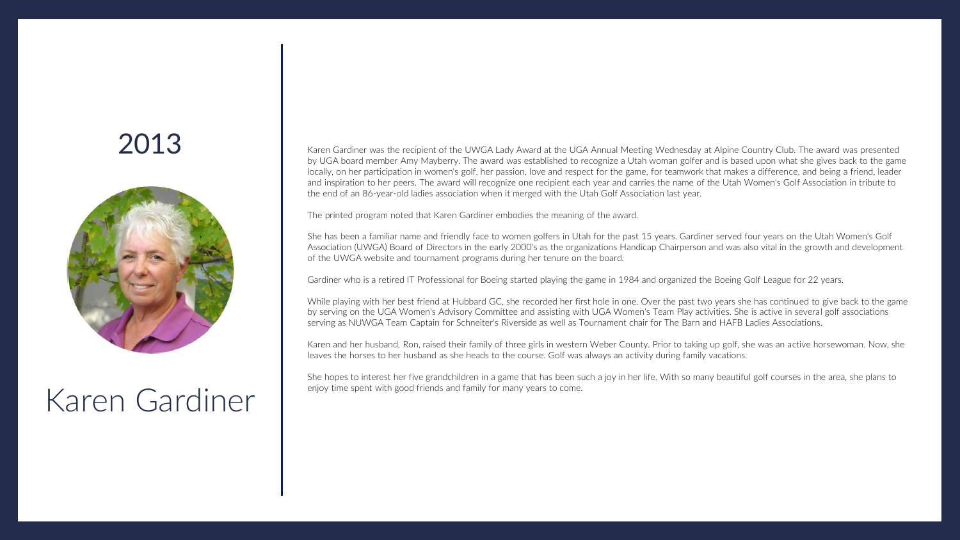<span id="page-9-0"></span>

## Karen Gardiner

Karen Gardiner was the recipient of the UWGA Lady Award at the UGA Annual Meeting Wednesday at Alpine Country Club. The award was presented by UGA board member Amy Mayberry. The award was established to recognize a Utah woman golfer and is based upon what she gives back to the game locally, on her participation in women's golf, her passion, love and respect for the game, for teamwork that makes a difference, and being a friend, leader and inspiration to her peers. The award will recognize one recipient each year and carries the name of the Utah Women's Golf Association in tribute to the end of an 86-year-old ladies association when it merged with the Utah Golf Association last year.

The printed program noted that Karen Gardiner embodies the meaning of the award.

She has been a familiar name and friendly face to women golfers in Utah for the past 15 years. Gardiner served four years on the Utah Women's Golf Association (UWGA) Board of Directors in the early 2000's as the organizations Handicap Chairperson and was also vital in the growth and development of the UWGA website and tournament programs during her tenure on the board.

Gardiner who is a retired IT Professional for Boeing started playing the game in 1984 and organized the Boeing Golf League for 22 years.

While playing with her best friend at Hubbard GC, she recorded her first hole in one. Over the past two years she has continued to give back to the game by serving on the UGA Women's Advisory Committee and assisting with UGA Women's Team Play activities. She is active in several golf associations serving as NUWGA Team Captain for Schneiter's Riverside as well as Tournament chair for The Barn and HAFB Ladies Associations.

Karen and her husband, Ron, raised their family of three girls in western Weber County. Prior to taking up golf, she was an active horsewoman. Now, she leaves the horses to her husband as she heads to the course. Golf was always an activity during family vacations.

She hopes to interest her five grandchildren in a game that has been such a joy in her life. With so many beautiful golf courses in the area, she plans to enjoy time spent with good friends and family for many years to come.